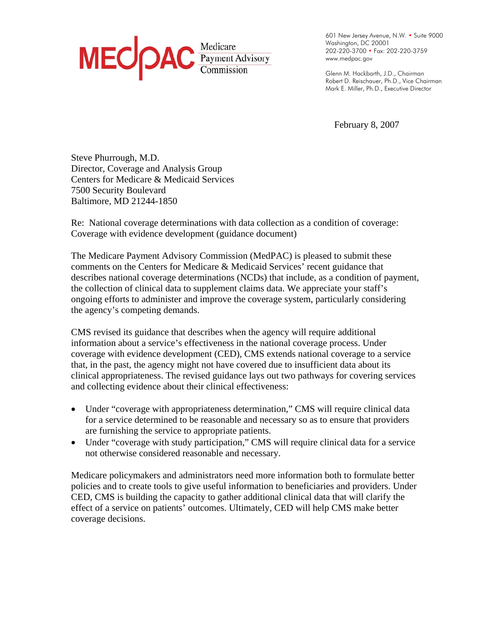

. . . . 601 New Jersey Avenue, N.W. • Suite 9000 . . . Washington, DC 20001 . . . 202-220-3700 • Fax: 202-220-3759 . . . . www.medpac.gov .

. . . . Glenn M. Hackbarth, J.D., Chairman . . . Robert D. Reischauer, Ph.D., Vice Chairman . Mark E. Miller, Ph.D., Executive Director

February 8, 2007

Steve Phurrough, M.D. Director, Coverage and Analysis Group Centers for Medicare & Medicaid Services 7500 Security Boulevard Baltimore, MD 21244-1850

Re: National coverage determinations with data collection as a condition of coverage: Coverage with evidence development (guidance document)

The Medicare Payment Advisory Commission (MedPAC) is pleased to submit these comments on the Centers for Medicare & Medicaid Services' recent guidance that describes national coverage determinations (NCDs) that include, as a condition of payment, the collection of clinical data to supplement claims data. We appreciate your staff's ongoing efforts to administer and improve the coverage system, particularly considering the agency's competing demands.

CMS revised its guidance that describes when the agency will require additional information about a service's effectiveness in the national coverage process. Under coverage with evidence development (CED), CMS extends national coverage to a service that, in the past, the agency might not have covered due to insufficient data about its clinical appropriateness. The revised guidance lays out two pathways for covering services and collecting evidence about their clinical effectiveness:

- Under "coverage with appropriateness determination," CMS will require clinical data for a service determined to be reasonable and necessary so as to ensure that providers are furnishing the service to appropriate patients.
- Under "coverage with study participation," CMS will require clinical data for a service not otherwise considered reasonable and necessary.

Medicare policymakers and administrators need more information both to formulate better policies and to create tools to give useful information to beneficiaries and providers. Under CED, CMS is building the capacity to gather additional clinical data that will clarify the effect of a service on patients' outcomes. Ultimately, CED will help CMS make better coverage decisions.